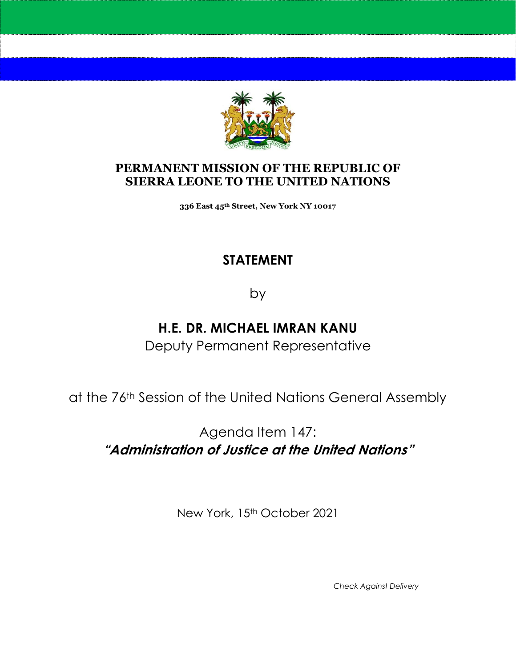

#### **PERMANENT MISSION OF THE REPUBLIC OF SIERRA LEONE TO THE UNITED NATIONS**

**336 East 45th Street, New York NY 10017**

#### **STATEMENT**

by

# **H.E. DR. MICHAEL IMRAN KANU**

Deputy Permanent Representative

at the 76th Session of the United Nations General Assembly

Agenda Item 147: **"Administration of Justice at the United Nations"**

New York, 15<sup>th</sup> October 2021

*Check Against Delivery*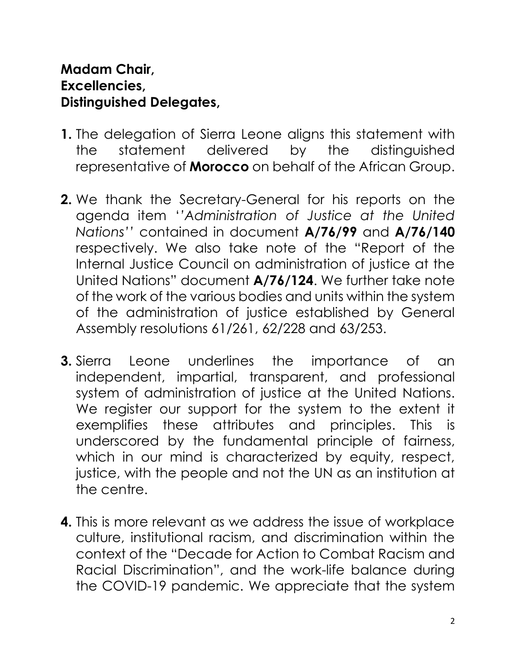### **Madam Chair, Excellencies, Distinguished Delegates,**

- **1.** The delegation of Sierra Leone aligns this statement with the statement delivered by the distinguished representative of **Morocco** on behalf of the African Group.
- **2.** We thank the Secretary-General for his reports on the agenda item '*'Administration of Justice at the United Nations''* contained in document **A/76/99** and **A/76/140** respectively. We also take note of the "Report of the Internal Justice Council on administration of justice at the United Nations" document **A/76/124**. We further take note of the work of the various bodies and units within the system of the administration of justice established by General Assembly resolutions 61/261, 62/228 and 63/253.
- **3.** Sierra Leone underlines the importance of an independent, impartial, transparent, and professional system of administration of justice at the United Nations. We register our support for the system to the extent it exemplifies these attributes and principles. This is underscored by the fundamental principle of fairness, which in our mind is characterized by equity, respect, justice, with the people and not the UN as an institution at the centre.
- **4.** This is more relevant as we address the issue of workplace culture, institutional racism, and discrimination within the context of the "Decade for Action to Combat Racism and Racial Discrimination", and the work-life balance during the COVID-19 pandemic. We appreciate that the system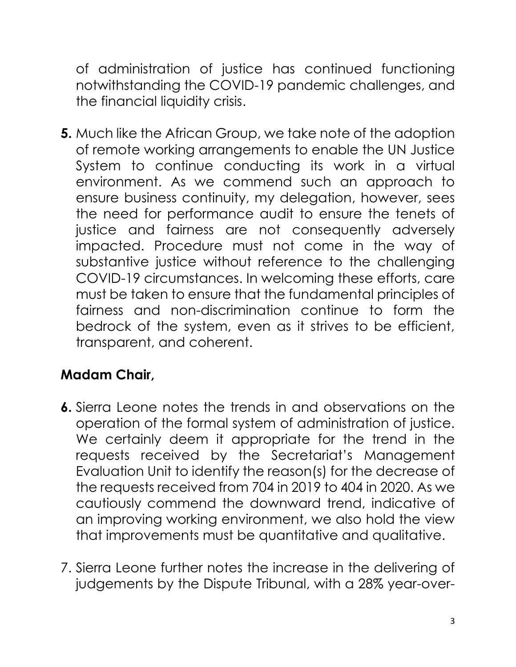of administration of justice has continued functioning notwithstanding the COVID-19 pandemic challenges, and the financial liquidity crisis.

**5.** Much like the African Group, we take note of the adoption of remote working arrangements to enable the UN Justice System to continue conducting its work in a virtual environment. As we commend such an approach to ensure business continuity, my delegation, however, sees the need for performance audit to ensure the tenets of justice and fairness are not consequently adversely impacted. Procedure must not come in the way of substantive justice without reference to the challenging COVID-19 circumstances. In welcoming these efforts, care must be taken to ensure that the fundamental principles of fairness and non-discrimination continue to form the bedrock of the system, even as it strives to be efficient, transparent, and coherent.

# **Madam Chair,**

- **6.** Sierra Leone notes the trends in and observations on the operation of the formal system of administration of justice. We certainly deem it appropriate for the trend in the requests received by the Secretariat's Management Evaluation Unit to identify the reason(s) for the decrease of the requests received from 704 in 2019 to 404 in 2020. As we cautiously commend the downward trend, indicative of an improving working environment, we also hold the view that improvements must be quantitative and qualitative.
- 7. Sierra Leone further notes the increase in the delivering of judgements by the Dispute Tribunal, with a 28% year-over-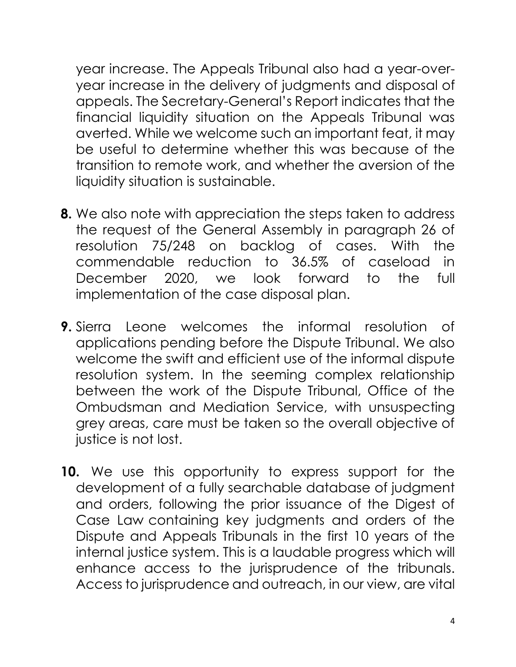year increase. The Appeals Tribunal also had a year-overyear increase in the delivery of judgments and disposal of appeals. The Secretary-General's Report indicates that the financial liquidity situation on the Appeals Tribunal was averted. While we welcome such an important feat, it may be useful to determine whether this was because of the transition to remote work, and whether the aversion of the liquidity situation is sustainable.

- **8.** We also note with appreciation the steps taken to address the request of the General Assembly in paragraph 26 of resolution 75/248 on backlog of cases. With the commendable reduction to 36.5% of caseload in December 2020, we look forward to the full implementation of the case disposal plan.
- **9.** Sierra Leone welcomes the informal resolution of applications pending before the Dispute Tribunal. We also welcome the swift and efficient use of the informal dispute resolution system. In the seeming complex relationship between the work of the Dispute Tribunal, Office of the Ombudsman and Mediation Service, with unsuspecting grey areas, care must be taken so the overall objective of justice is not lost.
- **10.** We use this opportunity to express support for the development of a fully searchable database of judgment and orders, following the prior issuance of the Digest of Case Law containing key judgments and orders of the Dispute and Appeals Tribunals in the first 10 years of the internal justice system. This is a laudable progress which will enhance access to the jurisprudence of the tribunals. Access to jurisprudence and outreach, in our view, are vital